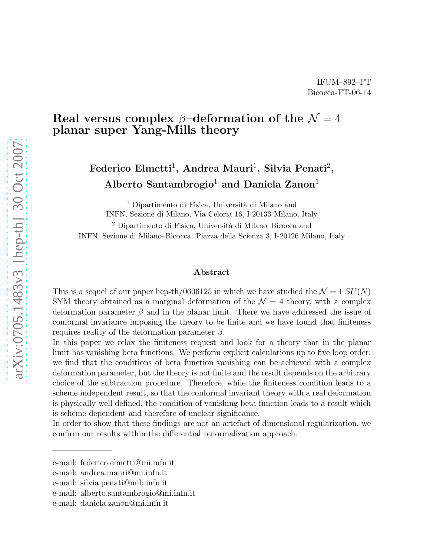## Real versus complex  $\beta$ -deformation of the  $\mathcal{N}=4$ planar super Yang-Mills theory

# Federico Elmetti<sup>1</sup>, Andrea Mauri<sup>1</sup>, Silvia Penati<sup>2</sup>, Alberto Santambrogio<sup>1</sup> and Daniela Zanon<sup>1</sup>

<sup>1</sup> Dipartimento di Fisica, Università di Milano and INFN, Sezione di Milano, Via Celoria 16, I-20133 Milano, Italy

<sup>2</sup> Dipartimento di Fisica, Università di Milano–Bicocca and INFN, Sezione di Milano–Bicocca, Piazza della Scienza 3, I-20126 Milano, Italy

#### Abstract

This is a sequel of our paper hep-th/0606125 in which we have studied the  $\mathcal{N} = 1$   $SU(N)$ SYM theory obtained as a marginal deformation of the  $\mathcal{N} = 4$  theory, with a complex deformation parameter  $\beta$  and in the planar limit. There we have addressed the issue of conformal invariance imposing the theory to be finite and we have found that finiteness requires reality of the deformation parameter  $β$ .

In this paper we relax the finiteness request and look for a theory that in the planar limit has vanishing beta functions. We perform explicit calculations up to five loop order: we find that the conditions of beta function vanishing can be achieved with a complex deformation parameter, but the theory is not finite and the result depends on the arbitrary choice of the subtraction procedure. Therefore, while the finiteness condition leads to a scheme independent result, so that the conformal invariant theory with a real deformation is physically well defined, the condition of vanishing beta function leads to a result which is scheme dependent and therefore of unclear significance.

In order to show that these findings are not an artefact of dimensional regularization, we confirm our results within the differential renormalization approach.

e-mail: federico.elmetti@mi.infn.it

e-mail: andrea.mauri@mi.infn.it

e-mail: silvia.penati@mib.infn.it

e-mail: alberto.santambrogio@mi.infn.it

e-mail: daniela.zanon@mi.infn.it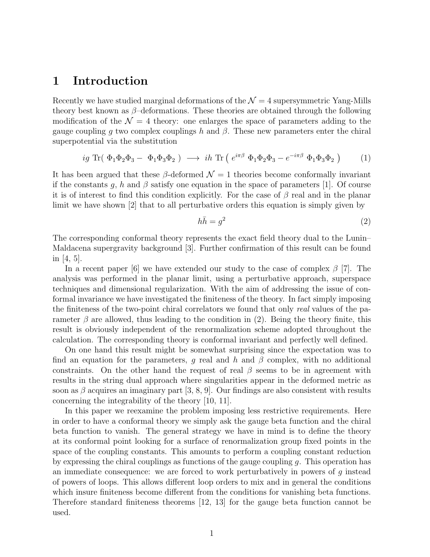#### 1 Introduction

Recently we have studied marginal deformations of the  $\mathcal{N}=4$  supersymmetric Yang-Mills theory best known as  $\beta$ -deformations. These theories are obtained through the following modification of the  $\mathcal{N} = 4$  theory: one enlarges the space of parameters adding to the gauge coupling g two complex couplings h and  $\beta$ . These new parameters enter the chiral superpotential via the substitution

$$
ig \operatorname{Tr}(\Phi_1 \Phi_2 \Phi_3 - \Phi_1 \Phi_3 \Phi_2) \longrightarrow ih \operatorname{Tr}(\, e^{i\pi\beta} \Phi_1 \Phi_2 \Phi_3 - e^{-i\pi\beta} \Phi_1 \Phi_3 \Phi_2\, ) \tag{1}
$$

It has been argued that these  $\beta$ -deformed  $\mathcal{N} = 1$  theories become conformally invariant if the constants g, h and  $\beta$  satisfy one equation in the space of parameters [1]. Of course it is of interest to find this condition explicitly. For the case of  $\beta$  real and in the planar limit we have shown [2] that to all perturbative orders this equation is simply given by

$$
h\bar{h} = g^2 \tag{2}
$$

The corresponding conformal theory represents the exact field theory dual to the Lunin– Maldacena supergravity background [3]. Further confirmation of this result can be found in [4, 5].

In a recent paper [6] we have extended our study to the case of complex  $\beta$  [7]. The analysis was performed in the planar limit, using a perturbative approach, superspace techniques and dimensional regularization. With the aim of addressing the issue of conformal invariance we have investigated the finiteness of the theory. In fact simply imposing the finiteness of the two-point chiral correlators we found that only real values of the parameter  $\beta$  are allowed, thus leading to the condition in (2). Being the theory finite, this result is obviously independent of the renormalization scheme adopted throughout the calculation. The corresponding theory is conformal invariant and perfectly well defined.

On one hand this result might be somewhat surprising since the expectation was to find an equation for the parameters, g real and h and  $\beta$  complex, with no additional constraints. On the other hand the request of real  $\beta$  seems to be in agreement with results in the string dual approach where singularities appear in the deformed metric as soon as  $\beta$  acquires an imaginary part [3, 8, 9]. Our findings are also consistent with results concerning the integrability of the theory [10, 11].

In this paper we reexamine the problem imposing less restrictive requirements. Here in order to have a conformal theory we simply ask the gauge beta function and the chiral beta function to vanish. The general strategy we have in mind is to define the theory at its conformal point looking for a surface of renormalization group fixed points in the space of the coupling constants. This amounts to perform a coupling constant reduction by expressing the chiral couplings as functions of the gauge coupling  $q$ . This operation has an immediate consequence: we are forced to work perturbatively in powers of g instead of powers of loops. This allows different loop orders to mix and in general the conditions which insure finiteness become different from the conditions for vanishing beta functions. Therefore standard finiteness theorems [12, 13] for the gauge beta function cannot be used.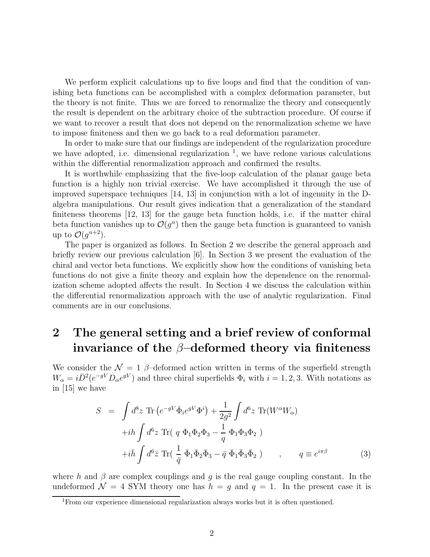We perform explicit calculations up to five loops and find that the condition of vanishing beta functions can be accomplished with a complex deformation parameter, but the theory is not finite. Thus we are forced to renormalize the theory and consequently the result is dependent on the arbitrary choice of the subtraction procedure. Of course if we want to recover a result that does not depend on the renormalization scheme we have to impose finiteness and then we go back to a real deformation parameter.

In order to make sure that our findings are independent of the regularization procedure we have adopted, i.e. dimensional regularization  $\frac{1}{1}$ , we have redone various calculations within the differential renormalization approach and confirmed the results.

It is worthwhile emphasizing that the five-loop calculation of the planar gauge beta function is a highly non trivial exercise. We have accomplished it through the use of improved superspace techniques [14, 13] in conjunction with a lot of ingenuity in the Dalgebra manipulations. Our result gives indication that a generalization of the standard finiteness theorems [12, 13] for the gauge beta function holds, i.e. if the matter chiral beta function vanishes up to  $\mathcal{O}(g^n)$  then the gauge beta function is guaranteed to vanish up to  $\mathcal{O}(g^{n+2})$ .

The paper is organized as follows. In Section 2 we describe the general approach and briefly review our previous calculation [6]. In Section 3 we present the evaluation of the chiral and vector beta functions. We explicitly show how the conditions of vanishing beta functions do not give a finite theory and explain how the dependence on the renormalization scheme adopted affects the result. In Section 4 we discuss the calculation within the differential renormalization approach with the use of analytic regularization. Final comments are in our conclusions.

# 2 The general setting and a brief review of conformal invariance of the  $\beta$ -deformed theory via finiteness

We consider the  $\mathcal{N} = 1$  β–deformed action written in terms of the superfield strength  $W_{\alpha} = i\bar{D}^2(e^{-gV}D_{\alpha}e^{gV})$  and three chiral superfields  $\Phi_i$  with  $i = 1, 2, 3$ . With notations as in [15] we have

$$
S = \int d^8 z \operatorname{Tr} \left( e^{-gV} \bar{\Phi}_i e^{gV} \Phi^i \right) + \frac{1}{2g^2} \int d^6 z \operatorname{Tr} (W^\alpha W_\alpha)
$$
  
+*i*h  $\int d^6 z \operatorname{Tr} (q \Phi_1 \Phi_2 \Phi_3 - \frac{1}{q} \Phi_1 \Phi_3 \Phi_2 )$   
+*i*h  $\int d^6 \bar{z} \operatorname{Tr} (\frac{1}{\bar{q}} \bar{\Phi}_1 \bar{\Phi}_2 \bar{\Phi}_3 - \bar{q} \bar{\Phi}_1 \bar{\Phi}_3 \bar{\Phi}_2 ) , \qquad q \equiv e^{i\pi\beta}$  (3)

where h and  $\beta$  are complex couplings and q is the real gauge coupling constant. In the undeformed  $\mathcal{N} = 4$  SYM theory one has  $h = g$  and  $q = 1$ . In the present case it is

<sup>1</sup>From our experience dimensional regularization always works but it is often questioned.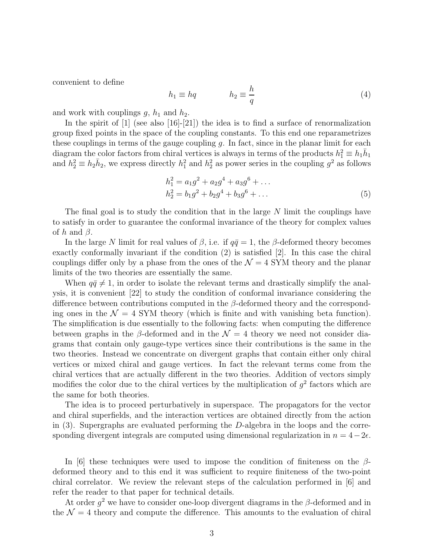convenient to define

$$
h_1 \equiv hq \qquad \qquad h_2 \equiv \frac{h}{q} \tag{4}
$$

and work with couplings  $q$ ,  $h_1$  and  $h_2$ .

In the spirit of  $[1]$  (see also  $[16]-[21]$ ) the idea is to find a surface of renormalization group fixed points in the space of the coupling constants. To this end one reparametrizes these couplings in terms of the gauge coupling  $g$ . In fact, since in the planar limit for each diagram the color factors from chiral vertices is always in terms of the products  $h_1^2 \equiv h_1 \overline{h}_1$ and  $h_2^2 \equiv h_2 \bar{h}_2$ , we express directly  $h_1^2$  and  $h_2^2$  as power series in the coupling  $g^2$  as follows

$$
h_1^2 = a_1 g^2 + a_2 g^4 + a_3 g^6 + \dots
$$
  
\n
$$
h_2^2 = b_1 g^2 + b_2 g^4 + b_3 g^6 + \dots
$$
\n(5)

The final goal is to study the condition that in the large N limit the couplings have to satisfy in order to guarantee the conformal invariance of the theory for complex values of h and  $\beta$ .

In the large N limit for real values of  $\beta$ , i.e. if  $q\bar{q}=1$ , the  $\beta$ -deformed theory becomes exactly conformally invariant if the condition (2) is satisfied [2]. In this case the chiral couplings differ only by a phase from the ones of the  $\mathcal{N}=4$  SYM theory and the planar limits of the two theories are essentially the same.

When  $q\bar{q} \neq 1$ , in order to isolate the relevant terms and drastically simplify the analysis, it is convenient [22] to study the condition of conformal invariance considering the difference between contributions computed in the  $\beta$ -deformed theory and the corresponding ones in the  $\mathcal{N} = 4$  SYM theory (which is finite and with vanishing beta function). The simplification is due essentially to the following facts: when computing the difference between graphs in the  $\beta$ -deformed and in the  $\mathcal{N} = 4$  theory we need not consider diagrams that contain only gauge-type vertices since their contributions is the same in the two theories. Instead we concentrate on divergent graphs that contain either only chiral vertices or mixed chiral and gauge vertices. In fact the relevant terms come from the chiral vertices that are actually different in the two theories. Addition of vectors simply modifies the color due to the chiral vertices by the multiplication of  $g^2$  factors which are the same for both theories.

The idea is to proceed perturbatively in superspace. The propagators for the vector and chiral superfields, and the interaction vertices are obtained directly from the action in (3). Supergraphs are evaluated performing the D-algebra in the loops and the corresponding divergent integrals are computed using dimensional regularization in  $n = 4-2\epsilon$ .

In [6] these techniques were used to impose the condition of finiteness on the  $\beta$ deformed theory and to this end it was sufficient to require finiteness of the two-point chiral correlator. We review the relevant steps of the calculation performed in [6] and refer the reader to that paper for technical details.

At order  $g^2$  we have to consider one-loop divergent diagrams in the  $\beta$ -deformed and in the  $\mathcal{N}=4$  theory and compute the difference. This amounts to the evaluation of chiral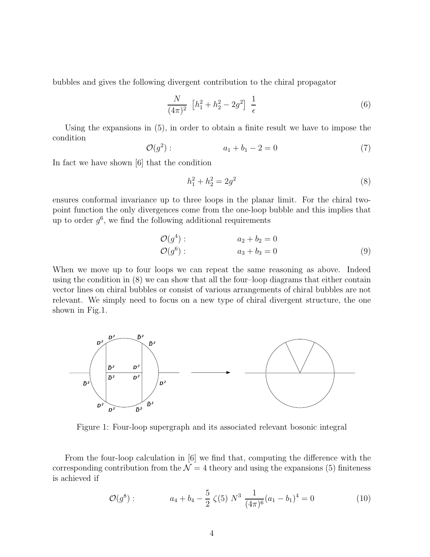bubbles and gives the following divergent contribution to the chiral propagator

$$
\frac{N}{(4\pi)^2} \left[ h_1^2 + h_2^2 - 2g^2 \right] \frac{1}{\epsilon} \tag{6}
$$

Using the expansions in (5), in order to obtain a finite result we have to impose the condition

$$
\mathcal{O}(g^2): \t a_1 + b_1 - 2 = 0 \t (7)
$$

In fact we have shown [6] that the condition

$$
h_1^2 + h_2^2 = 2g^2 \tag{8}
$$

ensures conformal invariance up to three loops in the planar limit. For the chiral twopoint function the only divergences come from the one-loop bubble and this implies that up to order  $g^6$ , we find the following additional requirements

$$
\mathcal{O}(g^{4}) : a_{2} + b_{2} = 0 \n\mathcal{O}(g^{6}) : a_{3} + b_{3} = 0
$$
\n(9)

When we move up to four loops we can repeat the same reasoning as above. Indeed using the condition in (8) we can show that all the four–loop diagrams that either contain vector lines on chiral bubbles or consist of various arrangements of chiral bubbles are not relevant. We simply need to focus on a new type of chiral divergent structure, the one shown in Fig.1.



Figure 1: Four-loop supergraph and its associated relevant bosonic integral

From the four-loop calculation in [6] we find that, computing the difference with the corresponding contribution from the  $\mathcal{N} = 4$  theory and using the expansions (5) finiteness is achieved if

$$
\mathcal{O}(g^8): \qquad a_4 + b_4 - \frac{5}{2} \zeta(5) N^3 \frac{1}{(4\pi)^6} (a_1 - b_1)^4 = 0 \qquad (10)
$$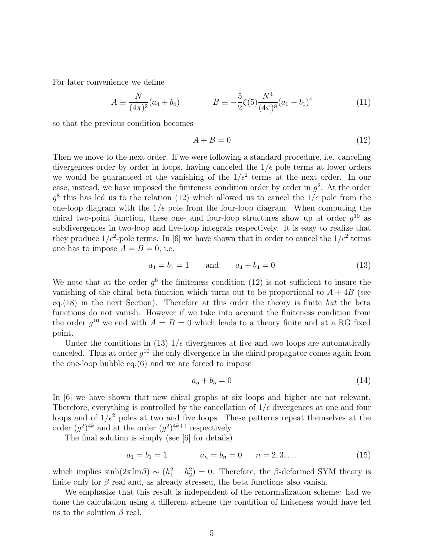For later convenience we define

$$
A = \frac{N}{(4\pi)^2} (a_4 + b_4) \qquad \qquad B = -\frac{5}{2} \zeta(5) \frac{N^4}{(4\pi)^8} (a_1 - b_1)^4 \tag{11}
$$

so that the previous condition becomes

$$
A + B = 0 \tag{12}
$$

Then we move to the next order. If we were following a standard procedure, i.e. canceling divergences order by order in loops, having canceled the  $1/\epsilon$  pole terms at lower orders we would be guaranteed of the vanishing of the  $1/\epsilon^2$  terms at the next order. In our case, instead, we have imposed the finiteness condition order by order in  $g^2$ . At the order  $g^8$  this has led us to the relation (12) which allowed us to cancel the  $1/\epsilon$  pole from the one-loop diagram with the  $1/\epsilon$  pole from the four-loop diagram. When computing the chiral two-point function, these one- and four-loop structures show up at order  $g^{10}$  as subdivergences in two-loop and five-loop integrals respectively. It is easy to realize that they produce  $1/\epsilon^2$ -pole terms. In [6] we have shown that in order to cancel the  $1/\epsilon^2$  terms one has to impose  $A = B = 0$ , i.e.

$$
a_1 = b_1 = 1 \qquad \text{and} \qquad a_4 + b_4 = 0 \tag{13}
$$

We note that at the order  $g^8$  the finiteness condition (12) is not sufficient to insure the vanishing of the chiral beta function which turns out to be proportional to  $A + 4B$  (see eq.  $(18)$  in the next Section). Therefore at this order the theory is finite but the beta functions do not vanish. However if we take into account the finiteness condition from the order  $g^{10}$  we end with  $A = B = 0$  which leads to a theory finite and at a RG fixed point.

Under the conditions in (13)  $1/\epsilon$  divergences at five and two loops are automatically canceled. Thus at order  $g^{10}$  the only divergence in the chiral propagator comes again from the one-loop bubble eq.(6) and we are forced to impose

$$
a_5 + b_5 = 0 \tag{14}
$$

In [6] we have shown that new chiral graphs at six loops and higher are not relevant. Therefore, everything is controlled by the cancellation of  $1/\epsilon$  divergences at one and four loops and of  $1/\epsilon^2$  poles at two and five loops. These patterns repeat themselves at the order  $(g^2)^{4k}$  and at the order  $(g^2)^{4k+1}$  respectively.

The final solution is simply (see [6] for details)

$$
a_1 = b_1 = 1 \qquad \qquad a_n = b_n = 0 \qquad n = 2, 3, \dots \tag{15}
$$

which implies  $\sinh(2\pi \text{Im}\beta) \sim (h_1^2 - h_2^2) = 0$ . Therefore, the  $\beta$ -deformed SYM theory is finite only for  $\beta$  real and, as already stressed, the beta functions also vanish.

We emphasize that this result is independent of the renormalization scheme: had we done the calculation using a different scheme the condition of finiteness would have led us to the solution  $\beta$  real.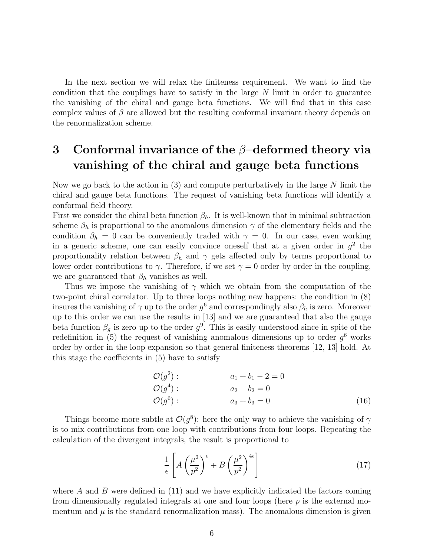In the next section we will relax the finiteness requirement. We want to find the condition that the couplings have to satisfy in the large  $N$  limit in order to guarantee the vanishing of the chiral and gauge beta functions. We will find that in this case complex values of  $\beta$  are allowed but the resulting conformal invariant theory depends on the renormalization scheme.

# 3 Conformal invariance of the  $\beta$ -deformed theory via vanishing of the chiral and gauge beta functions

Now we go back to the action in  $(3)$  and compute perturbatively in the large N limit the chiral and gauge beta functions. The request of vanishing beta functions will identify a conformal field theory.

First we consider the chiral beta function  $\beta_h$ . It is well-known that in minimal subtraction scheme  $\beta_h$  is proportional to the anomalous dimension  $\gamma$  of the elementary fields and the condition  $\beta_h = 0$  can be conveniently traded with  $\gamma = 0$ . In our case, even working in a generic scheme, one can easily convince oneself that at a given order in  $g^2$  the proportionality relation between  $\beta_h$  and  $\gamma$  gets affected only by terms proportional to lower order contributions to  $\gamma$ . Therefore, if we set  $\gamma = 0$  order by order in the coupling, we are guaranteed that  $\beta_h$  vanishes as well.

Thus we impose the vanishing of  $\gamma$  which we obtain from the computation of the two-point chiral correlator. Up to three loops nothing new happens: the condition in (8) insures the vanishing of  $\gamma$  up to the order  $g^6$  and correspondingly also  $\beta_h$  is zero. Moreover up to this order we can use the results in [13] and we are guaranteed that also the gauge beta function  $\beta_g$  is zero up to the order  $g^9$ . This is easily understood since in spite of the redefinition in (5) the request of vanishing anomalous dimensions up to order  $g^6$  works order by order in the loop expansion so that general finiteness theorems [12, 13] hold. At this stage the coefficients in (5) have to satisfy

$$
\begin{array}{ll}\n\mathcal{O}(g^2): & a_1 + b_1 - 2 = 0 \\
\mathcal{O}(g^4): & a_2 + b_2 = 0 \\
\mathcal{O}(g^6): & a_3 + b_3 = 0\n\end{array} \tag{16}
$$

Things become more subtle at  $\mathcal{O}(g^8)$ : here the only way to achieve the vanishing of  $\gamma$ is to mix contributions from one loop with contributions from four loops. Repeating the calculation of the divergent integrals, the result is proportional to

$$
\frac{1}{\epsilon} \left[ A \left( \frac{\mu^2}{p^2} \right)^{\epsilon} + B \left( \frac{\mu^2}{p^2} \right)^{4\epsilon} \right] \tag{17}
$$

where  $\tilde{A}$  and  $\tilde{B}$  were defined in (11) and we have explicitly indicated the factors coming from dimensionally regulated integrals at one and four loops (here p is the external momentum and  $\mu$  is the standard renormalization mass). The anomalous dimension is given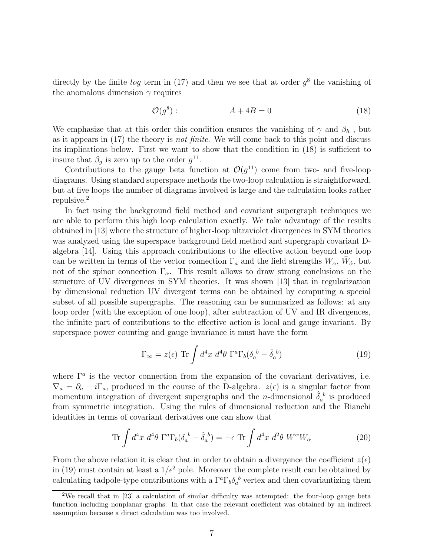directly by the finite  $log$  term in (17) and then we see that at order  $g^8$  the vanishing of the anomalous dimension  $\gamma$  requires

$$
\mathcal{O}(g^8): \qquad \qquad A + 4B = 0 \tag{18}
$$

We emphasize that at this order this condition ensures the vanishing of  $\gamma$  and  $\beta_h$ , but as it appears in (17) the theory is not finite. We will come back to this point and discuss its implications below. First we want to show that the condition in (18) is sufficient to insure that  $\beta_g$  is zero up to the order  $g^{11}$ .

Contributions to the gauge beta function at  $\mathcal{O}(g^{11})$  come from two- and five-loop diagrams. Using standard superspace methods the two-loop calculation is straightforward, but at five loops the number of diagrams involved is large and the calculation looks rather repulsive.<sup>2</sup>

In fact using the background field method and covariant supergraph techniques we are able to perform this high loop calculation exactly. We take advantage of the results obtained in [13] where the structure of higher-loop ultraviolet divergences in SYM theories was analyzed using the superspace background field method and supergraph covariant Dalgebra [14]. Using this approach contributions to the effective action beyond one loop can be written in terms of the vector connection  $\Gamma_a$  and the field strengths  $W_\alpha$ ,  $\bar{W}_{\dot{\alpha}}$ , but not of the spinor connection  $\Gamma_{\alpha}$ . This result allows to draw strong conclusions on the structure of UV divergences in SYM theories. It was shown [13] that in regularization by dimensional reduction UV divergent terms can be obtained by computing a special subset of all possible supergraphs. The reasoning can be summarized as follows: at any loop order (with the exception of one loop), after subtraction of UV and IR divergences, the infinite part of contributions to the effective action is local and gauge invariant. By superspace power counting and gauge invariance it must have the form

$$
\Gamma_{\infty} = z(\epsilon) \operatorname{Tr} \int d^4x \; d^4\theta \; \Gamma^a \Gamma_b (\delta_a^{\;b} - \hat{\delta}_a^{\;b}) \tag{19}
$$

where  $\Gamma^a$  is the vector connection from the expansion of the covariant derivatives, i.e.  $\nabla_a = \partial_a - i\Gamma_a$ , produced in the course of the D-algebra.  $z(\epsilon)$  is a singular factor from momentum integration of divergent supergraphs and the *n*-dimensional  $\hat{\delta}_a^b$  is produced from symmetric integration. Using the rules of dimensional reduction and the Bianchi identities in terms of covariant derivatives one can show that

$$
\operatorname{Tr} \int d^4x \; d^4\theta \; \Gamma^a \Gamma_b (\delta_a{}^b - \hat{\delta}_a{}^b) = -\epsilon \, \operatorname{Tr} \int d^4x \; d^2\theta \; W^\alpha W_\alpha \tag{20}
$$

From the above relation it is clear that in order to obtain a divergence the coefficient  $z(\epsilon)$ in (19) must contain at least a  $1/\epsilon^2$  pole. Moreover the complete result can be obtained by calculating tadpole-type contributions with a  $\Gamma^a \Gamma_b \delta_a^b$  vertex and then covariantizing them

<sup>&</sup>lt;sup>2</sup>We recall that in [23] a calculation of similar difficulty was attempted: the four-loop gauge beta function including nonplanar graphs. In that case the relevant coefficient was obtained by an indirect assumption because a direct calculation was too involved.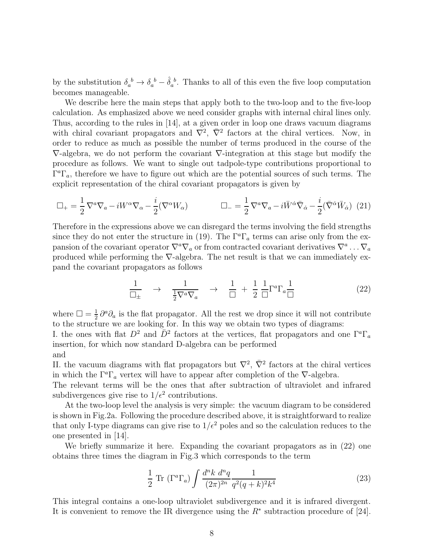by the substitution  $\delta_a^{\ b} \to \delta_a^{\ b} - \hat{\delta}_a^{\ b}$ . Thanks to all of this even the five loop computation becomes manageable.

We describe here the main steps that apply both to the two-loop and to the five-loop calculation. As emphasized above we need consider graphs with internal chiral lines only. Thus, according to the rules in [14], at a given order in loop one draws vacuum diagrams with chiral covariant propagators and  $\nabla^2$ ,  $\bar{\nabla}^2$  factors at the chiral vertices. Now, in order to reduce as much as possible the number of terms produced in the course of the  $\nabla$ -algebra, we do not perform the covariant  $\nabla$ -integration at this stage but modify the procedure as follows. We want to single out tadpole-type contributions proportional to  $\Gamma^a \Gamma_a$ , therefore we have to figure out which are the potential sources of such terms. The explicit representation of the chiral covariant propagators is given by

$$
\Box_{+} = \frac{1}{2} \nabla^{a} \nabla_{a} - iW^{\alpha} \nabla_{\alpha} - \frac{i}{2} (\nabla^{\alpha} W_{\alpha}) \qquad \Box_{-} = \frac{1}{2} \nabla^{a} \nabla_{a} - i \bar{W}^{\dot{\alpha}} \bar{\nabla}_{\dot{\alpha}} - \frac{i}{2} (\bar{\nabla}^{\dot{\alpha}} \bar{W}_{\dot{\alpha}}) \tag{21}
$$

Therefore in the expressions above we can disregard the terms involving the field strengths since they do not enter the structure in (19). The  $\Gamma^a \Gamma_a$  terms can arise only from the expansion of the covariant operator  $\nabla^a \nabla_a$  or from contracted covariant derivatives  $\nabla^a \dots \nabla_a$ produced while performing the  $\nabla$ -algebra. The net result is that we can immediately expand the covariant propagators as follows

$$
\frac{1}{\Box_{\pm}} \rightarrow \frac{1}{\frac{1}{2}\nabla^a \nabla_a} \rightarrow \frac{1}{\Box} + \frac{1}{2} \frac{1}{\Box} \Gamma^a \Gamma_a \frac{1}{\Box} \tag{22}
$$

where  $\Box = \frac{1}{2}$  $\frac{1}{2}\partial^a\partial_a$  is the flat propagator. All the rest we drop since it will not contribute to the structure we are looking for. In this way we obtain two types of diagrams: I. the ones with flat  $D^2$  and  $\overline{D}^2$  factors at the vertices, flat propagators and one  $\Gamma^a\Gamma_a$ insertion, for which now standard D-algebra can be performed and

II. the vacuum diagrams with flat propagators but  $\nabla^2$ ,  $\bar{\nabla}^2$  factors at the chiral vertices in which the  $\Gamma^a\Gamma_a$  vertex will have to appear after completion of the  $\nabla$ -algebra.

The relevant terms will be the ones that after subtraction of ultraviolet and infrared subdivergences give rise to  $1/\epsilon^2$  contributions.

At the two-loop level the analysis is very simple: the vacuum diagram to be considered is shown in Fig.2a. Following the procedure described above, it is straightforward to realize that only I-type diagrams can give rise to  $1/\epsilon^2$  poles and so the calculation reduces to the one presented in [14].

We briefly summarize it here. Expanding the covariant propagators as in (22) one obtains three times the diagram in Fig.3 which corresponds to the term

$$
\frac{1}{2} \text{ Tr } (\Gamma^a \Gamma_a) \int \frac{d^n k \ d^n q}{(2\pi)^{2n}} \frac{1}{q^2 (q+k)^2 k^4} \tag{23}
$$

This integral contains a one-loop ultraviolet subdivergence and it is infrared divergent. It is convenient to remove the IR divergence using the  $R^*$  subtraction procedure of [24].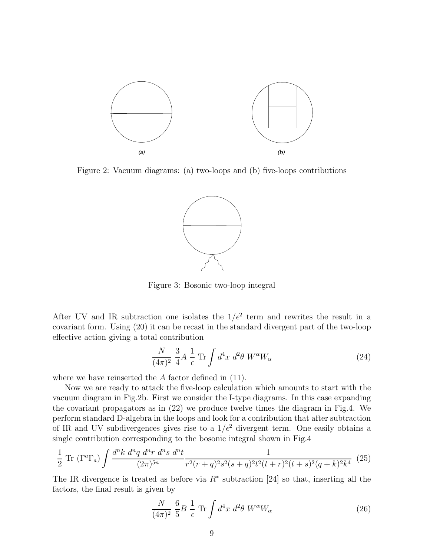

Figure 2: Vacuum diagrams: (a) two-loops and (b) five-loops contributions



Figure 3: Bosonic two-loop integral

After UV and IR subtraction one isolates the  $1/\epsilon^2$  term and rewrites the result in a covariant form. Using (20) it can be recast in the standard divergent part of the two-loop effective action giving a total contribution

$$
\frac{N}{(4\pi)^2} \frac{3}{4} A \frac{1}{\epsilon} \operatorname{Tr} \int d^4 x \ d^2 \theta \ W^\alpha W_\alpha \tag{24}
$$

where we have reinserted the A factor defined in  $(11)$ .

Now we are ready to attack the five-loop calculation which amounts to start with the vacuum diagram in Fig.2b. First we consider the I-type diagrams. In this case expanding the covariant propagators as in (22) we produce twelve times the diagram in Fig.4. We perform standard D-algebra in the loops and look for a contribution that after subtraction of IR and UV subdivergences gives rise to a  $1/\epsilon^2$  divergent term. One easily obtains a single contribution corresponding to the bosonic integral shown in Fig.4

$$
\frac{1}{2} \operatorname{Tr} \left( \Gamma^a \Gamma_a \right) \int \frac{d^n k \ d^n q \ d^n r \ d^n s \ d^n t}{(2\pi)^{5n}} \frac{1}{r^2 (r+q)^2 s^2 (s+q)^2 t^2 (t+r)^2 (t+s)^2 (q+k)^2 k^4} \tag{25}
$$

The IR divergence is treated as before via  $R^*$  subtraction [24] so that, inserting all the factors, the final result is given by

$$
\frac{N}{(4\pi)^2} \frac{6}{5} B \frac{1}{\epsilon} \operatorname{Tr} \int d^4 x \ d^2 \theta \ W^{\alpha} W_{\alpha} \tag{26}
$$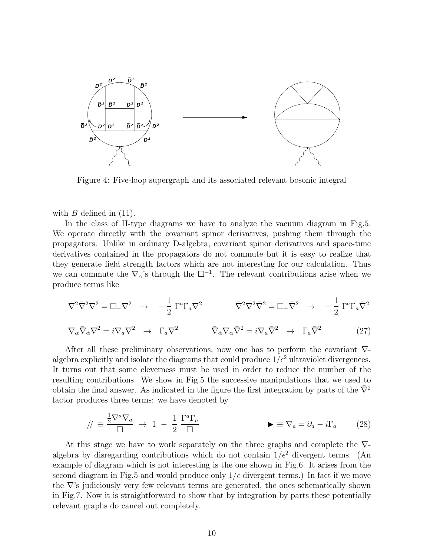

Figure 4: Five-loop supergraph and its associated relevant bosonic integral

with  $B$  defined in  $(11)$ .

In the class of II-type diagrams we have to analyze the vacuum diagram in Fig.5. We operate directly with the covariant spinor derivatives, pushing them through the propagators. Unlike in ordinary D-algebra, covariant spinor derivatives and space-time derivatives contained in the propagators do not commute but it is easy to realize that they generate field strength factors which are not interesting for our calculation. Thus we can commute the  $\nabla_{\alpha}$ 's through the  $\square^{-1}$ . The relevant contributions arise when we produce terms like

$$
\nabla^2 \bar{\nabla}^2 \nabla^2 = \Box_{-} \nabla^2 \rightarrow -\frac{1}{2} \Gamma^a \Gamma_a \nabla^2 \qquad \qquad \bar{\nabla}^2 \nabla^2 \bar{\nabla}^2 = \Box_{+} \bar{\nabla}^2 \rightarrow -\frac{1}{2} \Gamma^a \Gamma_a \bar{\nabla}^2
$$

$$
\nabla_{\alpha}\bar{\nabla}_{\dot{\alpha}}\nabla^2 = i\nabla_{a}\nabla^2 \quad \rightarrow \quad \Gamma_a\nabla^2 \qquad \qquad \bar{\nabla}_{\dot{\alpha}}\nabla_{\alpha}\bar{\nabla}^2 = i\nabla_{a}\bar{\nabla}^2 \quad \rightarrow \quad \Gamma_a\bar{\nabla}^2 \qquad (27)
$$

After all these preliminary observations, now one has to perform the covariant ∇ algebra explicitly and isolate the diagrams that could produce  $1/\epsilon^2$  ultraviolet divergences. It turns out that some cleverness must be used in order to reduce the number of the resulting contributions. We show in Fig.5 the successive manipulations that we used to obtain the final answer. As indicated in the figure the first integration by parts of the  $\bar{\nabla}^2$ factor produces three terms: we have denoted by

$$
/\!/ \equiv \frac{\frac{1}{2}\nabla^a\nabla_a}{\Box} \to 1 - \frac{1}{2}\frac{\Gamma^a\Gamma_a}{\Box} \qquad \blacktriangleright \equiv \nabla_a = \partial_a - i\Gamma_a \qquad (28)
$$

At this stage we have to work separately on the three graphs and complete the  $\nabla$ algebra by disregarding contributions which do not contain  $1/\epsilon^2$  divergent terms. (An example of diagram which is not interesting is the one shown in Fig.6. It arises from the second diagram in Fig.5 and would produce only  $1/\epsilon$  divergent terms.) In fact if we move the ∇'s judiciously very few relevant terms are generated, the ones schematically shown in Fig.7. Now it is straightforward to show that by integration by parts these potentially relevant graphs do cancel out completely.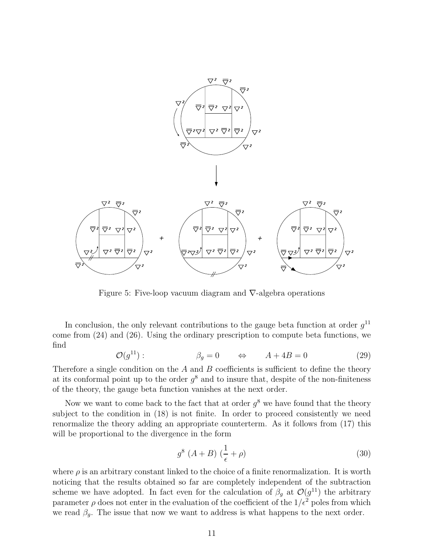

Figure 5: Five-loop vacuum diagram and ∇-algebra operations

In conclusion, the only relevant contributions to the gauge beta function at order  $g^{11}$ come from (24) and (26). Using the ordinary prescription to compute beta functions, we find

$$
\mathcal{O}(g^{11}): \qquad \beta_g = 0 \qquad \Leftrightarrow \qquad A + 4B = 0 \tag{29}
$$

Therefore a single condition on the  $A$  and  $B$  coefficients is sufficient to define the theory at its conformal point up to the order  $g^8$  and to insure that, despite of the non-finiteness of the theory, the gauge beta function vanishes at the next order.

Now we want to come back to the fact that at order  $g^8$  we have found that the theory subject to the condition in (18) is not finite. In order to proceed consistently we need renormalize the theory adding an appropriate counterterm. As it follows from (17) this will be proportional to the divergence in the form

$$
g^8 \left( A + B \right) \left( \frac{1}{\epsilon} + \rho \right) \tag{30}
$$

where  $\rho$  is an arbitrary constant linked to the choice of a finite renormalization. It is worth noticing that the results obtained so far are completely independent of the subtraction scheme we have adopted. In fact even for the calculation of  $\beta_g$  at  $\mathcal{O}(g^{11})$  the arbitrary parameter  $\rho$  does not enter in the evaluation of the coefficient of the  $1/\epsilon^2$  poles from which we read  $\beta_g$ . The issue that now we want to address is what happens to the next order.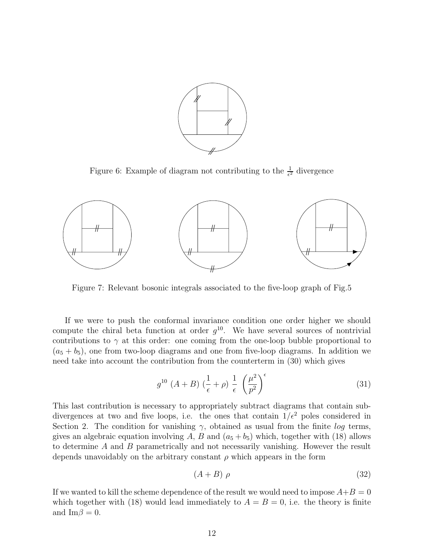

Figure 6: Example of diagram not contributing to the  $\frac{1}{\epsilon^2}$  divergence



Figure 7: Relevant bosonic integrals associated to the five-loop graph of Fig.5

If we were to push the conformal invariance condition one order higher we should compute the chiral beta function at order  $g^{10}$ . We have several sources of nontrivial contributions to  $\gamma$  at this order: one coming from the one-loop bubble proportional to  $(a_5 + b_5)$ , one from two-loop diagrams and one from five-loop diagrams. In addition we need take into account the contribution from the counterterm in (30) which gives

$$
g^{10} \left( A + B \right) \left( \frac{1}{\epsilon} + \rho \right) \frac{1}{\epsilon} \left( \frac{\mu^2}{p^2} \right)^{\epsilon} \tag{31}
$$

This last contribution is necessary to appropriately subtract diagrams that contain subdivergences at two and five loops, i.e. the ones that contain  $1/\epsilon^2$  poles considered in Section 2. The condition for vanishing  $\gamma$ , obtained as usual from the finite log terms, gives an algebraic equation involving A, B and  $(a_5 + b_5)$  which, together with (18) allows to determine A and B parametrically and not necessarily vanishing. However the result depends unavoidably on the arbitrary constant  $\rho$  which appears in the form

$$
(A+B)\,\rho\tag{32}
$$

If we wanted to kill the scheme dependence of the result we would need to impose  $A+B=0$ which together with (18) would lead immediately to  $A = B = 0$ , i.e. the theory is finite and  $\text{Im}\beta = 0$ .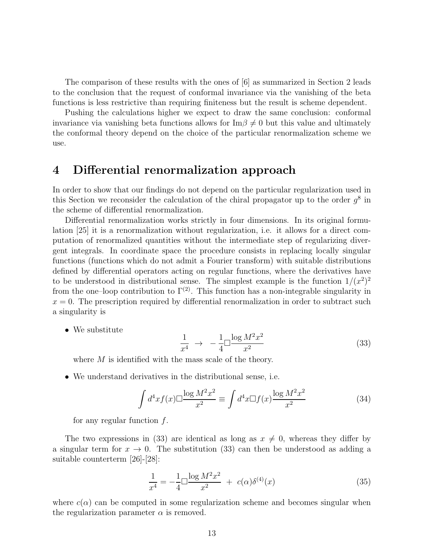The comparison of these results with the ones of [6] as summarized in Section 2 leads to the conclusion that the request of conformal invariance via the vanishing of the beta functions is less restrictive than requiring finiteness but the result is scheme dependent.

Pushing the calculations higher we expect to draw the same conclusion: conformal invariance via vanishing beta functions allows for  $\text{Im}\beta \neq 0$  but this value and ultimately the conformal theory depend on the choice of the particular renormalization scheme we use.

#### 4 Differential renormalization approach

In order to show that our findings do not depend on the particular regularization used in this Section we reconsider the calculation of the chiral propagator up to the order  $g^8$  in the scheme of differential renormalization.

Differential renormalization works strictly in four dimensions. In its original formulation [25] it is a renormalization without regularization, i.e. it allows for a direct computation of renormalized quantities without the intermediate step of regularizing divergent integrals. In coordinate space the procedure consists in replacing locally singular functions (functions which do not admit a Fourier transform) with suitable distributions defined by differential operators acting on regular functions, where the derivatives have to be understood in distributional sense. The simplest example is the function  $1/(x^2)^2$ from the one–loop contribution to  $\Gamma^{(2)}$ . This function has a non-integrable singularity in  $x = 0$ . The prescription required by differential renormalization in order to subtract such a singularity is

• We substitute

$$
\frac{1}{x^4} \rightarrow -\frac{1}{4} \Box \frac{\log M^2 x^2}{x^2} \tag{33}
$$

where  $M$  is identified with the mass scale of the theory.

• We understand derivatives in the distributional sense, i.e.

$$
\int d^4x f(x) \Box \frac{\log M^2 x^2}{x^2} \equiv \int d^4x \Box f(x) \frac{\log M^2 x^2}{x^2}
$$
 (34)

for any regular function  $f$ .

The two expressions in (33) are identical as long as  $x \neq 0$ , whereas they differ by a singular term for  $x \to 0$ . The substitution (33) can then be understood as adding a suitable counterterm [26]-[28]:

$$
\frac{1}{x^4} = -\frac{1}{4} \Box \frac{\log M^2 x^2}{x^2} + c(\alpha) \delta^{(4)}(x) \tag{35}
$$

where  $c(\alpha)$  can be computed in some regularization scheme and becomes singular when the regularization parameter  $\alpha$  is removed.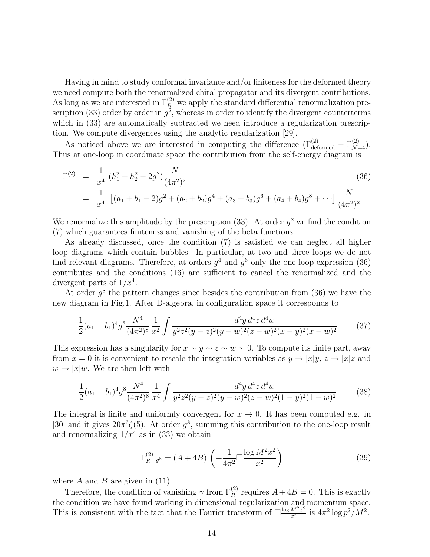Having in mind to study conformal invariance and/or finiteness for the deformed theory we need compute both the renormalized chiral propagator and its divergent contributions. As long as we are interested in  $\Gamma_R^{(2)}$  we apply the standard differential renormalization prescription (33) order by order in  $g^2$ , whereas in order to identify the divergent counterterms which in  $(33)$  are automatically subtracted we need introduce a regularization prescription. We compute divergences using the analytic regularization [29].

As noticed above we are interested in computing the difference  $(\Gamma_{\text{deformed}}^{(2)} - \Gamma_{\mathcal{N}=4}^{(2)})$ . Thus at one-loop in coordinate space the contribution from the self-energy diagram is

$$
\Gamma^{(2)} = \frac{1}{x^4} (h_1^2 + h_2^2 - 2g^2) \frac{N}{(4\pi^2)^2}
$$
\n
$$
= \frac{1}{x^4} \left[ (a_1 + b_1 - 2)g^2 + (a_2 + b_2)g^4 + (a_3 + b_3)g^6 + (a_4 + b_4)g^8 + \cdots \right] \frac{N}{(4\pi^2)^2}
$$
\n(36)

We renormalize this amplitude by the prescription (33). At order  $g^2$  we find the condition (7) which guarantees finiteness and vanishing of the beta functions.

As already discussed, once the condition (7) is satisfied we can neglect all higher loop diagrams which contain bubbles. In particular, at two and three loops we do not find relevant diagrams. Therefore, at orders  $g<sup>4</sup>$  and  $g<sup>6</sup>$  only the one-loop expression (36) contributes and the conditions (16) are sufficient to cancel the renormalized and the divergent parts of  $1/x^4$ .

At order  $g^8$  the pattern changes since besides the contribution from (36) we have the new diagram in Fig.1. After D-algebra, in configuration space it corresponds to

$$
-\frac{1}{2}(a_1 - b_1)^4 g^8 \frac{N^4}{(4\pi^2)^8} \frac{1}{x^2} \int \frac{d^4y d^4z d^4w}{y^2 z^2 (y - z)^2 (y - w)^2 (z - w)^2 (x - y)^2 (x - w)^2}
$$
(37)

This expression has a singularity for  $x \sim y \sim z \sim w \sim 0$ . To compute its finite part, away from  $x = 0$  it is convenient to rescale the integration variables as  $y \to |x|y, z \to |x|z$  and  $w \rightarrow |x|w$ . We are then left with

$$
-\frac{1}{2}(a_1 - b_1)^4 g^8 \frac{N^4}{(4\pi^2)^8} \frac{1}{x^4} \int \frac{d^4y d^4z d^4w}{y^2 z^2 (y-z)^2 (y-w)^2 (z-w)^2 (1-y)^2 (1-w)^2}
$$
(38)

The integral is finite and uniformly convergent for  $x \to 0$ . It has been computed e.g. in [30] and it gives  $20\pi^6\zeta(5)$ . At order  $g^8$ , summing this contribution to the one-loop result and renormalizing  $1/x^4$  as in (33) we obtain

$$
\Gamma_R^{(2)}|_{g^8} = (A + 4B) \left( -\frac{1}{4\pi^2} \Box \frac{\log M^2 x^2}{x^2} \right) \tag{39}
$$

where  $A$  and  $B$  are given in (11).

Therefore, the condition of vanishing  $\gamma$  from  $\Gamma_R^{(2)}$  requires  $A + 4B = 0$ . This is exactly the condition we have found working in dimensional regularization and momentum space. This is consistent with the fact that the Fourier transform of  $\Box \frac{\log M^2 x^2}{x^2}$  is  $4\pi^2 \log p^2/M^2$ .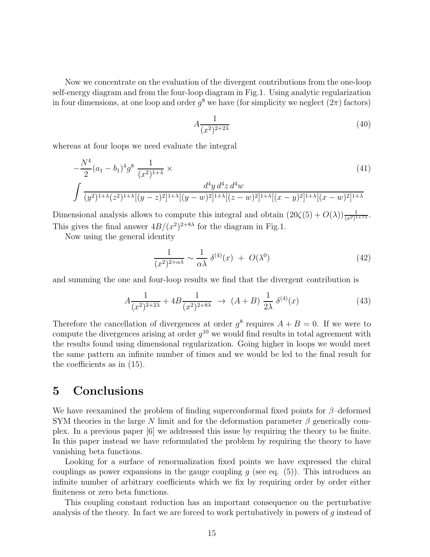Now we concentrate on the evaluation of the divergent contributions from the one-loop self-energy diagram and from the four-loop diagram in Fig.1. Using analytic regularization in four dimensions, at one loop and order  $g^8$  we have (for simplicity we neglect  $(2\pi)$  factors)

$$
A\frac{1}{(x^2)^{2+2\lambda}}\tag{40}
$$

whereas at four loops we need evaluate the integral

$$
-\frac{N^4}{2}(a_1 - b_1)^4 g^8 \frac{1}{(x^2)^{1+\lambda}} \times
$$
\n
$$
\int \frac{d^4 y \, d^4 z \, d^4 w}{(y^2)^{1+\lambda} (z^2)^{1+\lambda} [(y-z)^2]^{1+\lambda} [(y-w)^2]^{1+\lambda} [(z-w)^2]^{1+\lambda} [(x-y)^2]^{1+\lambda}}
$$
\n(41)

Dimensional analysis allows to compute this integral and obtain  $(20\zeta(5) + O(\lambda))\frac{1}{(x^2)^{1+7\lambda}}$ . This gives the final answer  $4B/(x^2)^{2+8\lambda}$  for the diagram in Fig.1.

Now using the general identity

$$
\frac{1}{(x^2)^{2+\alpha\lambda}} \sim \frac{1}{\alpha\lambda} \delta^{(4)}(x) + O(\lambda^0)
$$
\n(42)

and summing the one and four-loop results we find that the divergent contribution is

$$
A\frac{1}{(x^2)^{2+2\lambda}} + 4B\frac{1}{(x^2)^{2+8\lambda}} \to (A+B)\frac{1}{2\lambda} \delta^{(4)}(x)
$$
 (43)

Therefore the cancellation of divergences at order  $g^8$  requires  $A + B = 0$ . If we were to compute the divergences arising at order  $g^{10}$  we would find results in total agreement with the results found using dimensional regularization. Going higher in loops we would meet the same pattern an infinite number of times and we would be led to the final result for the coefficients as in (15).

### 5 Conclusions

We have reexamined the problem of finding superconformal fixed points for  $\beta$ –deformed SYM theories in the large N limit and for the deformation parameter  $\beta$  generically complex. In a previous paper [6] we addressed this issue by requiring the theory to be finite. In this paper instead we have reformulated the problem by requiring the theory to have vanishing beta functions.

Looking for a surface of renormalization fixed points we have expressed the chiral couplings as power expansions in the gauge coupling  $g$  (see eq. (5)). This introduces an infinite number of arbitrary coefficients which we fix by requiring order by order either finiteness or zero beta functions.

This coupling constant reduction has an important consequence on the perturbative analysis of the theory. In fact we are forced to work pertubatively in powers of g instead of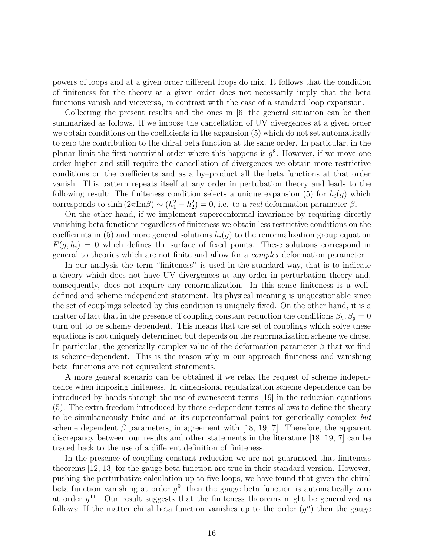powers of loops and at a given order different loops do mix. It follows that the condition of finiteness for the theory at a given order does not necessarily imply that the beta functions vanish and viceversa, in contrast with the case of a standard loop expansion.

Collecting the present results and the ones in [6] the general situation can be then summarized as follows. If we impose the cancellation of UV divergences at a given order we obtain conditions on the coefficients in the expansion (5) which do not set automatically to zero the contribution to the chiral beta function at the same order. In particular, in the planar limit the first nontrivial order where this happens is  $g^8$ . However, if we move one order higher and still require the cancellation of divergences we obtain more restrictive conditions on the coefficients and as a by–product all the beta functions at that order vanish. This pattern repeats itself at any order in pertubation theory and leads to the following result: The finiteness condition selects a unique expansion (5) for  $h_i(q)$  which corresponds to  $\sinh(2\pi \text{Im}\beta) \sim (h_1^2 - h_2^2) = 0$ , i.e. to a *real* deformation parameter  $\beta$ .

On the other hand, if we implement superconformal invariance by requiring directly vanishing beta functions regardless of finiteness we obtain less restrictive conditions on the coefficients in (5) and more general solutions  $h_i(g)$  to the renormalization group equation  $F(g, h_i) = 0$  which defines the surface of fixed points. These solutions correspond in general to theories which are not finite and allow for a complex deformation parameter.

In our analysis the term "finiteness" is used in the standard way, that is to indicate a theory which does not have UV divergences at any order in perturbation theory and, consequently, does not require any renormalization. In this sense finiteness is a welldefined and scheme independent statement. Its physical meaning is unquestionable since the set of couplings selected by this condition is uniquely fixed. On the other hand, it is a matter of fact that in the presence of coupling constant reduction the conditions  $\beta_h$ ,  $\beta_g = 0$ turn out to be scheme dependent. This means that the set of couplings which solve these equations is not uniquely determined but depends on the renormalization scheme we chose. In particular, the generically complex value of the deformation parameter  $\beta$  that we find is scheme–dependent. This is the reason why in our approach finiteness and vanishing beta–functions are not equivalent statements.

A more general scenario can be obtained if we relax the request of scheme independence when imposing finiteness. In dimensional regularization scheme dependence can be introduced by hands through the use of evanescent terms [19] in the reduction equations (5). The extra freedom introduced by these  $\epsilon$ -dependent terms allows to define the theory to be simultaneously finite and at its superconformal point for generically complex but scheme dependent  $\beta$  parameters, in agreement with [18, 19, 7]. Therefore, the apparent discrepancy between our results and other statements in the literature [18, 19, 7] can be traced back to the use of a different definition of finiteness.

In the presence of coupling constant reduction we are not guaranteed that finiteness theorems [12, 13] for the gauge beta function are true in their standard version. However, pushing the perturbative calculation up to five loops, we have found that given the chiral beta function vanishing at order  $g^9$ , then the gauge beta function is automatically zero at order  $g^{11}$ . Our result suggests that the finiteness theorems might be generalized as follows: If the matter chiral beta function vanishes up to the order  $(g<sup>n</sup>)$  then the gauge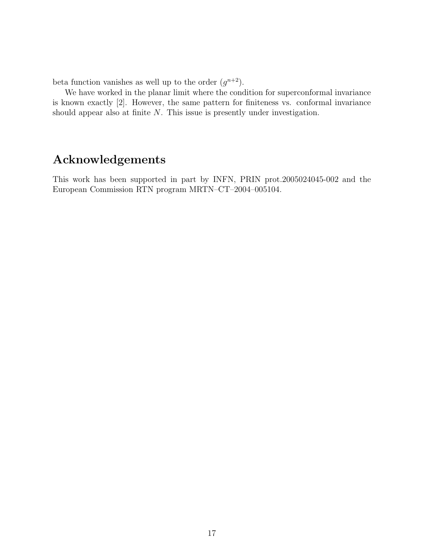beta function vanishes as well up to the order  $(g^{n+2})$ .

We have worked in the planar limit where the condition for superconformal invariance is known exactly [2]. However, the same pattern for finiteness vs. conformal invariance should appear also at finite N. This issue is presently under investigation.

# Acknowledgements

This work has been supported in part by INFN, PRIN prot.2005024045-002 and the European Commission RTN program MRTN–CT–2004–005104.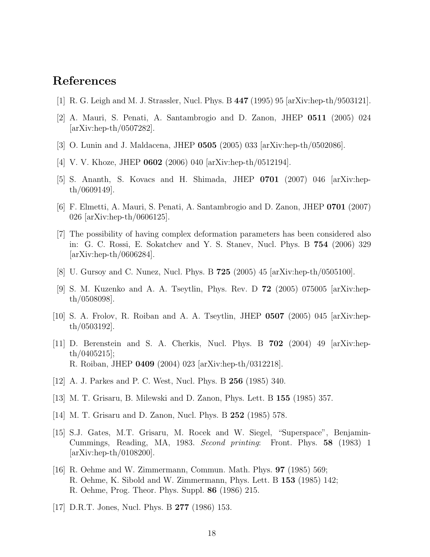### References

- [1] R. G. Leigh and M. J. Strassler, Nucl. Phys. B 447 (1995) 95 [arXiv:hep-th/9503121].
- [2] A. Mauri, S. Penati, A. Santambrogio and D. Zanon, JHEP 0511 (2005) 024 [arXiv:hep-th/0507282].
- [3] O. Lunin and J. Maldacena, JHEP 0505 (2005) 033 [arXiv:hep-th/0502086].
- [4] V. V. Khoze, JHEP **0602** (2006) 040 [arXiv:hep-th/0512194].
- [5] S. Ananth, S. Kovacs and H. Shimada, JHEP 0701 (2007) 046 [arXiv:hepth/0609149].
- [6] F. Elmetti, A. Mauri, S. Penati, A. Santambrogio and D. Zanon, JHEP 0701 (2007) 026 [arXiv:hep-th/0606125].
- [7] The possibility of having complex deformation parameters has been considered also in: G. C. Rossi, E. Sokatchev and Y. S. Stanev, Nucl. Phys. B 754 (2006) 329 [arXiv:hep-th/0606284].
- [8] U. Gursoy and C. Nunez, Nucl. Phys. B 725 (2005) 45 [arXiv:hep-th/0505100].
- [9] S. M. Kuzenko and A. A. Tseytlin, Phys. Rev. D 72 (2005) 075005 [arXiv:hepth/0508098].
- [10] S. A. Frolov, R. Roiban and A. A. Tseytlin, JHEP 0507 (2005) 045 [arXiv:hepth/0503192].
- [11] D. Berenstein and S. A. Cherkis, Nucl. Phys. B 702 (2004) 49 [arXiv:hepth/0405215]; R. Roiban, JHEP 0409 (2004) 023 [arXiv:hep-th/0312218].
- [12] A. J. Parkes and P. C. West, Nucl. Phys. B 256 (1985) 340.
- [13] M. T. Grisaru, B. Milewski and D. Zanon, Phys. Lett. B 155 (1985) 357.
- [14] M. T. Grisaru and D. Zanon, Nucl. Phys. B 252 (1985) 578.
- [15] S.J. Gates, M.T. Grisaru, M. Rocek and W. Siegel, "Superspace", Benjamin-Cummings, Reading, MA, 1983. Second printing: Front. Phys. 58 (1983) 1 [arXiv:hep-th/0108200].
- [16] R. Oehme and W. Zimmermann, Commun. Math. Phys. 97 (1985) 569; R. Oehme, K. Sibold and W. Zimmermann, Phys. Lett. B 153 (1985) 142; R. Oehme, Prog. Theor. Phys. Suppl. 86 (1986) 215.
- [17] D.R.T. Jones, Nucl. Phys. B 277 (1986) 153.